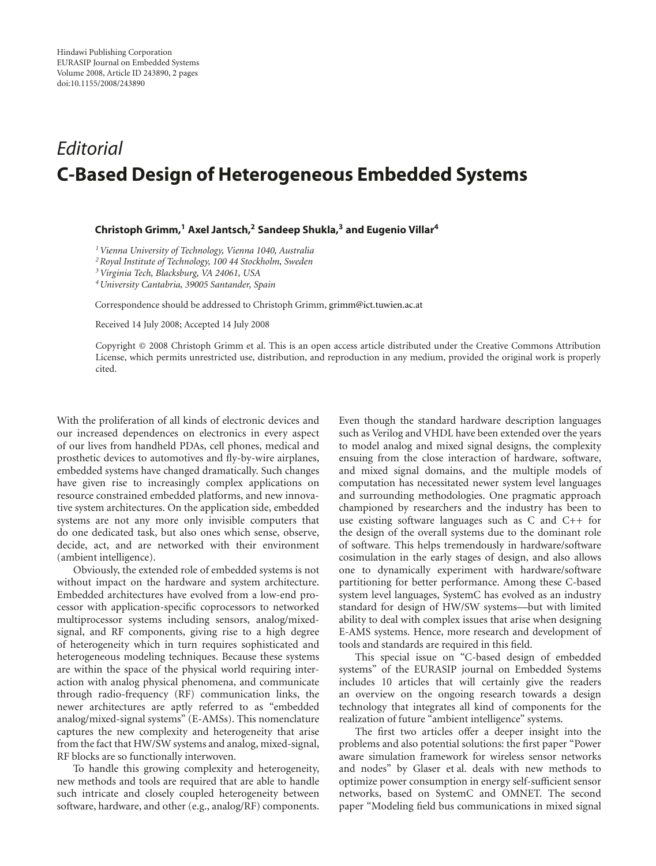## *Editorial* **C-Based Design of Heterogeneous Embedded Systems**

## **Christoph Grimm,1 Axel Jantsch,2 Sandeep Shukla,3 and Eugenio Villar4**

*1Vienna University of Technology, Vienna 1040, Australia*

*2Royal Institute of Technology, 100 44 Stockholm, Sweden*

*3Virginia Tech, Blacksburg, VA 24061, USA*

*4University Cantabria, 39005 Santander, Spain*

Correspondence should be addressed to Christoph Grimm, grimm@ict.tuwien.ac.at

Received 14 July 2008; Accepted 14 July 2008

Copyright © 2008 Christoph Grimm et al. This is an open access article distributed under the Creative Commons Attribution License, which permits unrestricted use, distribution, and reproduction in any medium, provided the original work is properly cited.

With the proliferation of all kinds of electronic devices and our increased dependences on electronics in every aspect of our lives from handheld PDAs, cell phones, medical and prosthetic devices to automotives and fly-by-wire airplanes, embedded systems have changed dramatically. Such changes have given rise to increasingly complex applications on resource constrained embedded platforms, and new innovative system architectures. On the application side, embedded systems are not any more only invisible computers that do one dedicated task, but also ones which sense, observe, decide, act, and are networked with their environment (ambient intelligence).

Obviously, the extended role of embedded systems is not without impact on the hardware and system architecture. Embedded architectures have evolved from a low-end processor with application-specific coprocessors to networked multiprocessor systems including sensors, analog/mixedsignal, and RF components, giving rise to a high degree of heterogeneity which in turn requires sophisticated and heterogeneous modeling techniques. Because these systems are within the space of the physical world requiring interaction with analog physical phenomena, and communicate through radio-frequency (RF) communication links, the newer architectures are aptly referred to as "embedded analog/mixed-signal systems" (E-AMSs). This nomenclature captures the new complexity and heterogeneity that arise from the fact that HW/SW systems and analog, mixed-signal, RF blocks are so functionally interwoven.

To handle this growing complexity and heterogeneity, new methods and tools are required that are able to handle such intricate and closely coupled heterogeneity between software, hardware, and other (e.g., analog/RF) components.

Even though the standard hardware description languages such as Verilog and VHDL have been extended over the years to model analog and mixed signal designs, the complexity ensuing from the close interaction of hardware, software, and mixed signal domains, and the multiple models of computation has necessitated newer system level languages and surrounding methodologies. One pragmatic approach championed by researchers and the industry has been to use existing software languages such as C and C++ for the design of the overall systems due to the dominant role of software. This helps tremendously in hardware/software cosimulation in the early stages of design, and also allows one to dynamically experiment with hardware/software partitioning for better performance. Among these C-based system level languages, SystemC has evolved as an industry standard for design of HW/SW systems—but with limited ability to deal with complex issues that arise when designing E-AMS systems. Hence, more research and development of tools and standards are required in this field.

This special issue on "C-based design of embedded systems" of the EURASIP journal on Embedded Systems includes 10 articles that will certainly give the readers an overview on the ongoing research towards a design technology that integrates all kind of components for the realization of future "ambient intelligence" systems.

The first two articles offer a deeper insight into the problems and also potential solutions: the first paper "Power aware simulation framework for wireless sensor networks and nodes" by Glaser et al. deals with new methods to optimize power consumption in energy self-sufficient sensor networks, based on SystemC and OMNET. The second paper "Modeling field bus communications in mixed signal